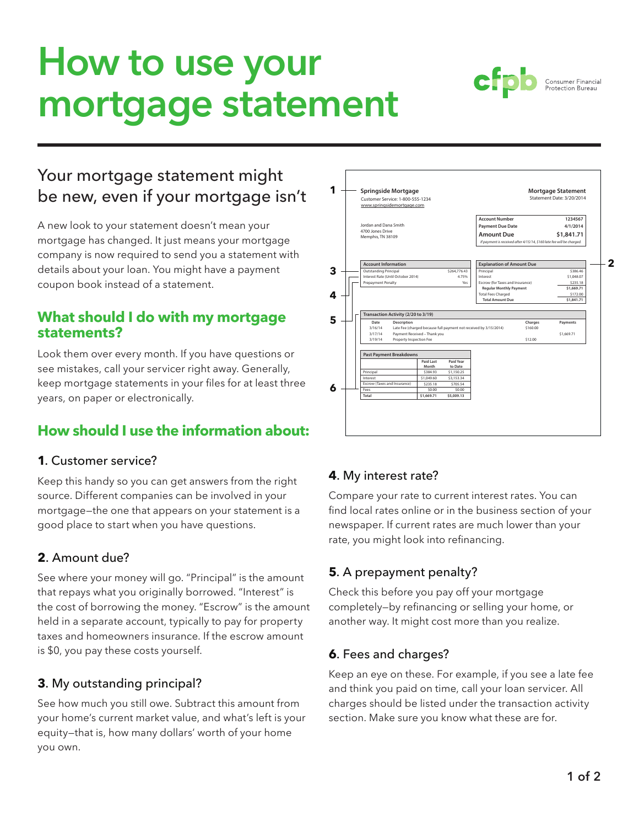# **How to use your mortgage statement**

# Your mortgage statement might be new, even if your mortgage isn't

A new look to your statement doesn't mean your mortgage has changed. It just means your mortgage company is now required to send you a statement with details about your loan. You might have a payment coupon book instead of a statement.

#### **What should I do with my mortgage statements?**

Look them over every month. If you have questions or see mistakes, call your servicer right away. Generally, keep mortgage statements in your files for at least three years, on paper or electronically.

# **How should I use the information about:**

#### **1**. Customer service?

Keep this handy so you can get answers from the right source. Different companies can be involved in your mortgage—the one that appears on your statement is a good place to start when you have questions.

## **2**. Amount due?

See where your money will go. "Principal" is the amount that repays what you originally borrowed. "Interest" is the cost of borrowing the money. "Escrow" is the amount held in a separate account, typically to pay for property taxes and homeowners insurance. If the escrow amount is \$0, you pay these costs yourself.

#### **3**. My outstanding principal?

See how much you still owe. Subtract this amount from your home's current market value, and what's left is your equity—that is, how many dollars' worth of your home you own.



## **4**. My interest rate?

**Springside Mortgage** Customer Service: 1-800-555-1234

**1**

Compare your rate to current interest rates. You can find local rates online or in the business section of your newspaper. If current rates are much lower than your rate, you might look into refinancing.

## **5**. A prepayment penalty?

Check this before you pay off your mortgage completely—by refinancing or selling your home, or another way. It might cost more than you realize.

#### **6**. Fees and charges?

Keep an eye on these. For example, if you see a late fee and think you paid on time, call your loan servicer. All charges should be listed under the transaction activity section. Make sure you know what these are for.



**Mortgage Statement J**<br>of Date: 3/20/2014